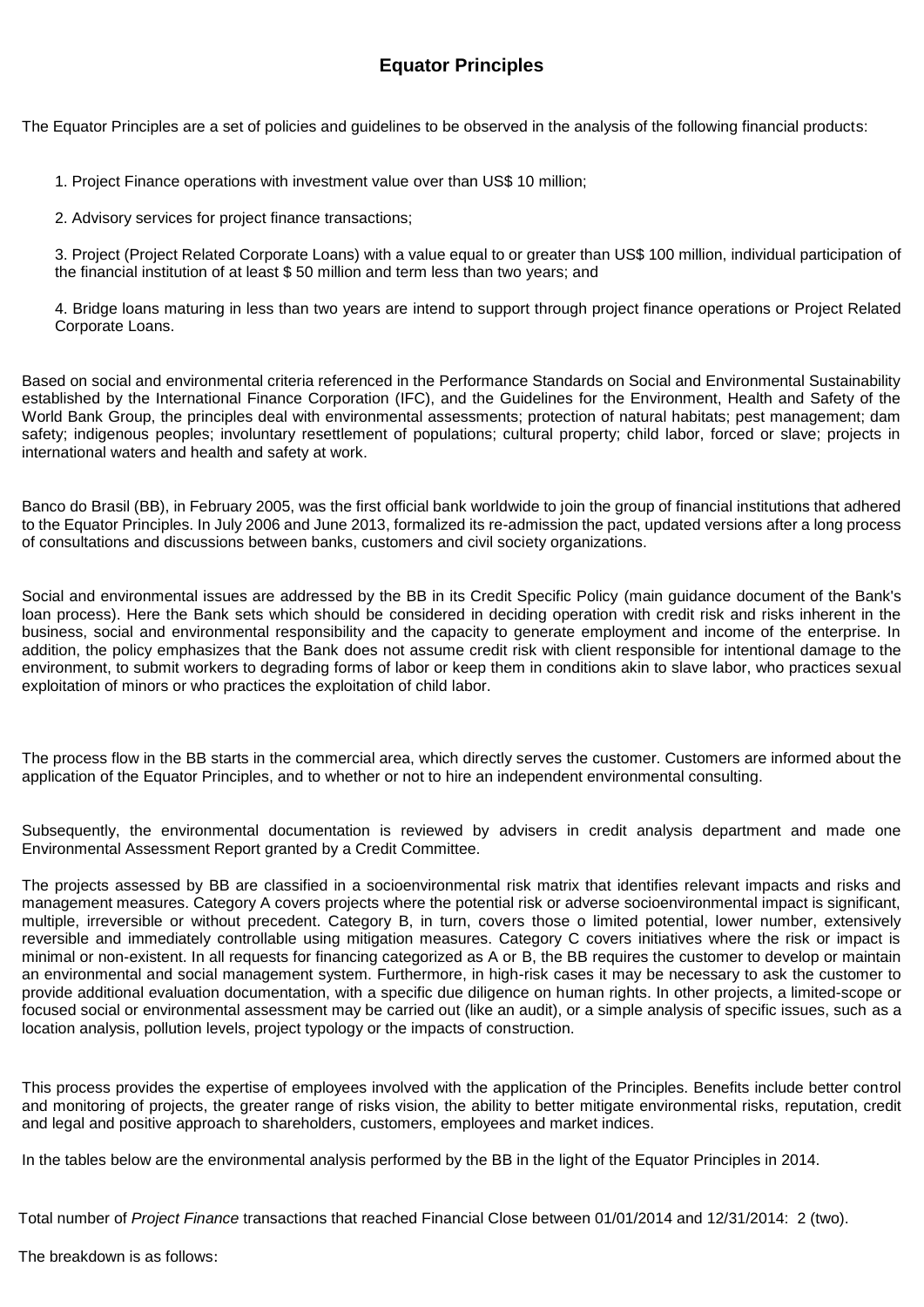## **Equator Principles**

The Equator Principles are a set of policies and guidelines to be observed in the analysis of the following financial products:

1. Project Finance operations with investment value over than US\$ 10 million;

2. Advisory services for project finance transactions;

3. Project (Project Related Corporate Loans) with a value equal to or greater than US\$ 100 million, individual participation of the financial institution of at least \$ 50 million and term less than two years; and

4. Bridge loans maturing in less than two years are intend to support through project finance operations or Project Related Corporate Loans.

Based on social and environmental criteria referenced in the Performance Standards on Social and Environmental Sustainability established by the International Finance Corporation (IFC), and the Guidelines for the Environment, Health and Safety of the World Bank Group, the principles deal with environmental assessments; protection of natural habitats; pest management; dam safety; indigenous peoples; involuntary resettlement of populations; cultural property; child labor, forced or slave; projects in international waters and health and safety at work.

Banco do Brasil (BB), in February 2005, was the first official bank worldwide to join the group of financial institutions that adhered to the Equator Principles. In July 2006 and June 2013, formalized its re-admission the pact, updated versions after a long process of consultations and discussions between banks, customers and civil society organizations.

Social and environmental issues are addressed by the BB in its Credit Specific Policy (main guidance document of the Bank's loan process). Here the Bank sets which should be considered in deciding operation with credit risk and risks inherent in the business, social and environmental responsibility and the capacity to generate employment and income of the enterprise. In addition, the policy emphasizes that the Bank does not assume credit risk with client responsible for intentional damage to the environment, to submit workers to degrading forms of labor or keep them in conditions akin to slave labor, who practices sexual exploitation of minors or who practices the exploitation of child labor.

The process flow in the BB starts in the commercial area, which directly serves the customer. Customers are informed about the application of the Equator Principles, and to whether or not to hire an independent environmental consulting.

Subsequently, the environmental documentation is reviewed by advisers in credit analysis department and made one Environmental Assessment Report granted by a Credit Committee.

The projects assessed by BB are classified in a socioenvironmental risk matrix that identifies relevant impacts and risks and management measures. Category A covers projects where the potential risk or adverse socioenvironmental impact is significant, multiple, irreversible or without precedent. Category B, in turn, covers those o limited potential, lower number, extensively reversible and immediately controllable using mitigation measures. Category C covers initiatives where the risk or impact is minimal or non-existent. In all requests for financing categorized as A or B, the BB requires the customer to develop or maintain an environmental and social management system. Furthermore, in high-risk cases it may be necessary to ask the customer to provide additional evaluation documentation, with a specific due diligence on human rights. In other projects, a limited-scope or focused social or environmental assessment may be carried out (like an audit), or a simple analysis of specific issues, such as a location analysis, pollution levels, project typology or the impacts of construction.

This process provides the expertise of employees involved with the application of the Principles. Benefits include better control and monitoring of projects, the greater range of risks vision, the ability to better mitigate environmental risks, reputation, credit and legal and positive approach to shareholders, customers, employees and market indices.

In the tables below are the environmental analysis performed by the BB in the light of the Equator Principles in 2014.

Total number of *Project Finance* transactions that reached Financial Close between 01/01/2014 and 12/31/2014: 2 (two).

The breakdown is as follows: